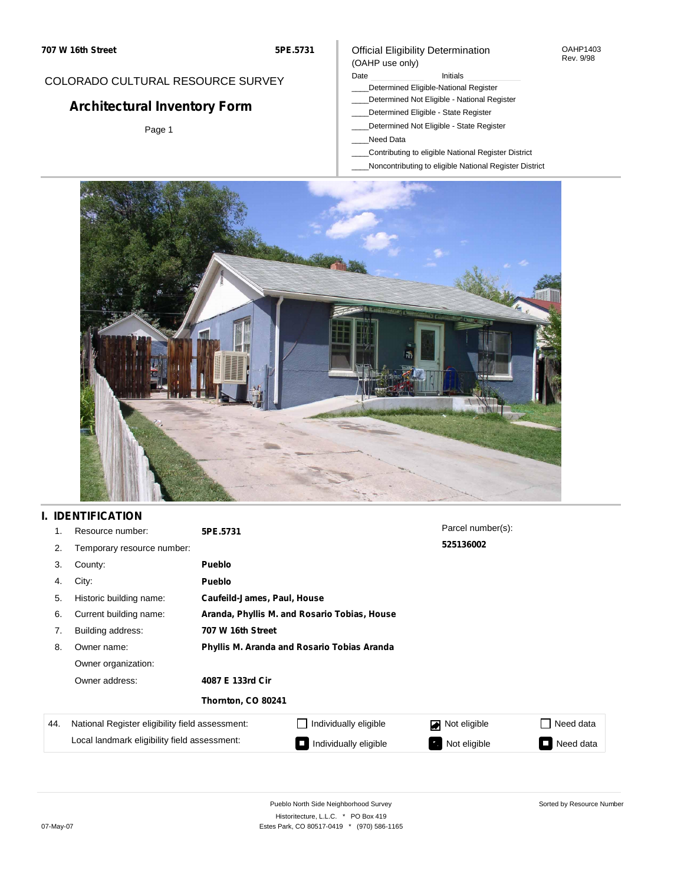#### OAHP1403 Rev. 9/98

## COLORADO CULTURAL RESOURCE SURVEY

# **Architectural Inventory Form**

Page 1

### Official Eligibility Determination (OAHP use only)

### Date **Initials** Initials

- \_\_\_\_Determined Eligible-National Register
- \_\_\_\_Determined Not Eligible National Register
- \_\_\_\_Determined Eligible State Register
- \_\_\_\_Determined Not Eligible State Register
- \_\_\_\_Need Data
- \_\_\_\_Contributing to eligible National Register District
- \_\_\_\_Noncontributing to eligible National Register District



## **I. IDENTIFICATION**

| 1.  | Resource number:                                | 5PE.5731                                     |                             | Parcel number(s): |                                       |  |  |  |
|-----|-------------------------------------------------|----------------------------------------------|-----------------------------|-------------------|---------------------------------------|--|--|--|
| 2.  | Temporary resource number:                      |                                              |                             | 525136002         |                                       |  |  |  |
| 3.  | County:                                         | <b>Pueblo</b>                                |                             |                   |                                       |  |  |  |
| 4.  | City:                                           | <b>Pueblo</b>                                |                             |                   |                                       |  |  |  |
| 5.  | Historic building name:                         |                                              | Caufeild-James, Paul, House |                   |                                       |  |  |  |
| 6.  | Current building name:                          | Aranda, Phyllis M. and Rosario Tobias, House |                             |                   |                                       |  |  |  |
| 7.  | Building address:                               | 707 W 16th Street                            |                             |                   |                                       |  |  |  |
| 8.  | Owner name:                                     | Phyllis M. Aranda and Rosario Tobias Aranda  |                             |                   |                                       |  |  |  |
|     | Owner organization:                             |                                              |                             |                   |                                       |  |  |  |
|     | Owner address:                                  | 4087 E 133rd Cir                             |                             |                   |                                       |  |  |  |
|     |                                                 | Thornton, CO 80241                           |                             |                   |                                       |  |  |  |
| 44. | National Register eligibility field assessment: |                                              | Individually eligible       | Not eligible      | Need data                             |  |  |  |
|     | Local landmark eligibility field assessment:    |                                              | Individually eligible       | Not eligible<br>ъ | Need data<br>$\overline{\phantom{a}}$ |  |  |  |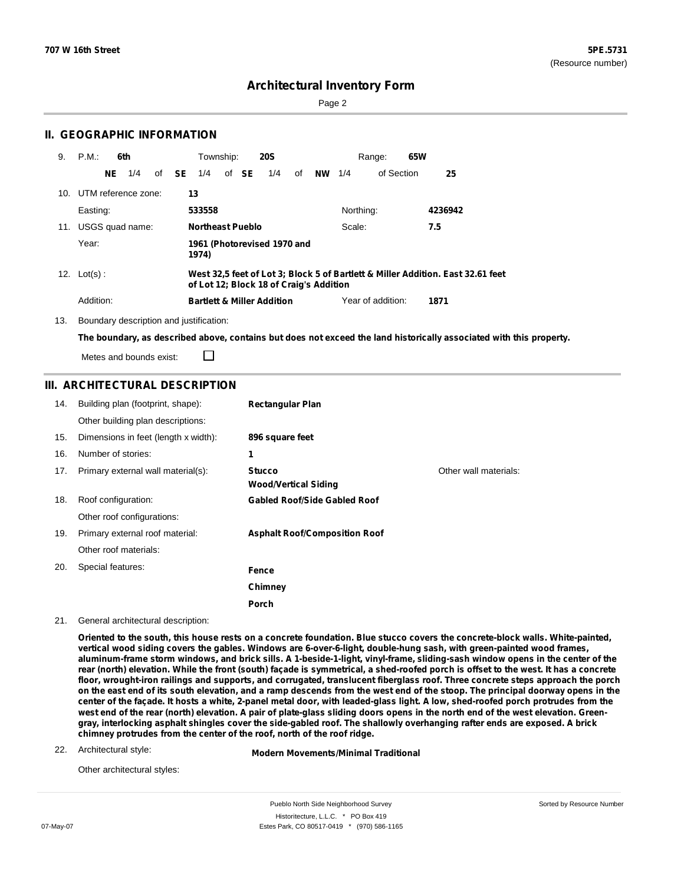Sorted by Resource Number

## **Architectural Inventory Form**

Page 2

### **II. GEOGRAPHIC INFORMATION**

| 9.  | P.M.                    | 6th |             | Township:               |       | <b>20S</b>                              |    |               |           | 65W<br>Range:     |                                                                                 |  |
|-----|-------------------------|-----|-------------|-------------------------|-------|-----------------------------------------|----|---------------|-----------|-------------------|---------------------------------------------------------------------------------|--|
|     | NE                      | 1/4 | of $SE$ 1/4 |                         | of SE | 1/4                                     | of | <b>NW</b> 1/4 |           | of Section        | 25                                                                              |  |
|     | 10. UTM reference zone: |     |             | 13                      |       |                                         |    |               |           |                   |                                                                                 |  |
|     | Easting:                |     |             | 533558                  |       |                                         |    |               | Northing: |                   | 4236942                                                                         |  |
| 11. | USGS quad name:         |     |             | <b>Northeast Pueblo</b> |       |                                         |    |               | Scale:    |                   | 7.5                                                                             |  |
|     | Year:                   |     |             | 1974)                   |       | 1961 (Photorevised 1970 and             |    |               |           |                   |                                                                                 |  |
|     | 12. $Lot(s)$ :          |     |             |                         |       | of Lot 12; Block 18 of Craig's Addition |    |               |           |                   | West 32.5 feet of Lot 3; Block 5 of Bartlett & Miller Addition. East 32.61 feet |  |
|     | Addition:               |     |             |                         |       | <b>Bartlett &amp; Miller Addition</b>   |    |               |           | Year of addition: | 1871                                                                            |  |

13. Boundary description and justification:

The boundary, as described above, contains but does not exceed the land historically associated with this property.

Metes and bounds exist:

### **III. ARCHITECTURAL DESCRIPTION**

□

| 14. | Building plan (footprint, shape):    | <b>Rectangular Plan</b>                      |                       |
|-----|--------------------------------------|----------------------------------------------|-----------------------|
|     | Other building plan descriptions:    |                                              |                       |
| 15. | Dimensions in feet (length x width): | 896 square feet                              |                       |
| 16. | Number of stories:                   | 1                                            |                       |
| 17. | Primary external wall material(s):   | <b>Stucco</b><br><b>Wood/Vertical Siding</b> | Other wall materials: |
| 18. | Roof configuration:                  | <b>Gabled Roof/Side Gabled Roof</b>          |                       |
|     | Other roof configurations:           |                                              |                       |
| 19. | Primary external roof material:      | <b>Asphalt Roof/Composition Roof</b>         |                       |
|     | Other roof materials:                |                                              |                       |
| 20. | Special features:                    | Fence                                        |                       |
|     |                                      | Chimney                                      |                       |
|     |                                      | Porch                                        |                       |

21. General architectural description:

Oriented to the south, this house rests on a concrete foundation. Blue stucco covers the concrete-block walls. White-painted, **vertical wood siding covers the gables. Windows are 6-over-6-light, double-hung sash, with green-painted wood frames,** aluminum-frame storm windows, and brick sills. A 1-beside-1-light, vinyl-frame, sliding-sash window opens in the center of the rear (north) elevation. While the front (south) façade is symmetrical, a shed-roofed porch is offset to the west. It has a concrete floor, wrought-iron railings and supports, and corrugated, translucent fiberglass roof. Three concrete steps approach the porch on the east end of its south elevation, and a ramp descends from the west end of the stoop. The principal doorway opens in the center of the façade. It hosts a white, 2-panel metal door, with leaded-glass light. A low, shed-roofed porch protrudes from the west end of the rear (north) elevation. A pair of plate-glass sliding doors opens in the north end of the west elevation. Greengray, interlocking asphalt shingles cover the side-gabled roof. The shallowly overhanging rafter ends are exposed. A brick **chimney protrudes from the center of the roof, north of the roof ridge.**

#### 22. Architectural style:

**Modern Movements/Minimal Traditional**

Other architectural styles: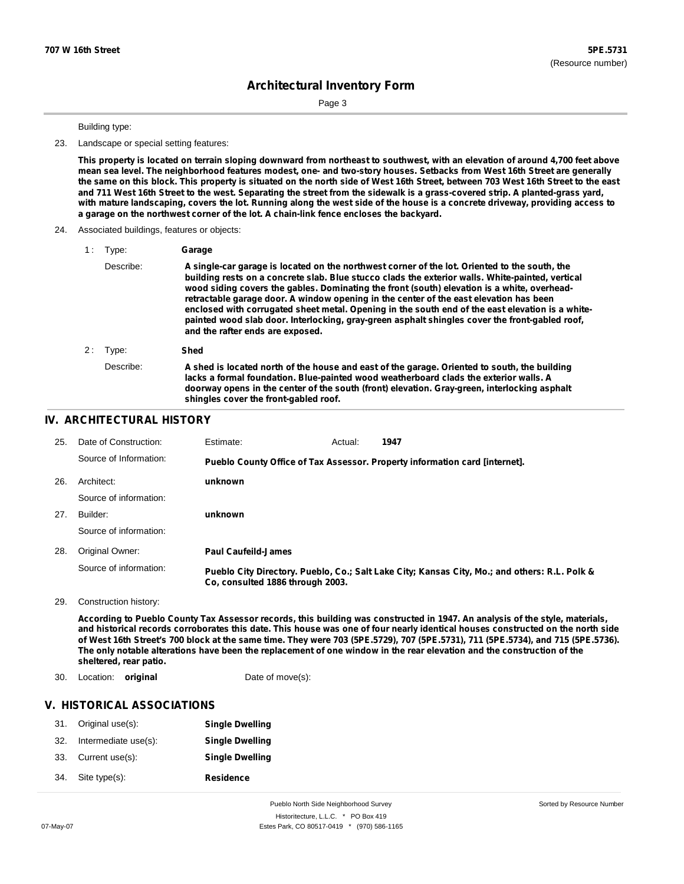Page 3

#### Building type:

23. Landscape or special setting features:

This property is located on terrain sloping downward from northeast to southwest, with an elevation of around 4,700 feet above mean sea level. The neighborhood features modest, one- and two-story houses. Setbacks from West 16th Street are generally the same on this block. This property is situated on the north side of West 16th Street, between 703 West 16th Street to the east and 711 West 16th Street to the west. Separating the street from the sidewalk is a grass-covered strip. A planted-grass yard, with mature landscaping, covers the lot. Running along the west side of the house is a concrete driveway, providing access to **a garage on the northwest corner of the lot. A chain-link fence encloses the backyard.**

#### 24. Associated buildings, features or objects:

| Type: | Garage |
|-------|--------|
|       |        |

|    | Describe: | A single-car garage is located on the northwest corner of the lot. Oriented to the south, the<br>building rests on a concrete slab. Blue stucco clads the exterior walls. White-painted, vertical<br>wood siding covers the gables. Dominating the front (south) elevation is a white, overhead-<br>retractable garage door. A window opening in the center of the east elevation has been<br>enclosed with corrugated sheet metal. Opening in the south end of the east elevation is a white-<br>painted wood slab door. Interlocking, gray-green asphalt shingles cover the front-gabled roof,<br>and the rafter ends are exposed. |
|----|-----------|--------------------------------------------------------------------------------------------------------------------------------------------------------------------------------------------------------------------------------------------------------------------------------------------------------------------------------------------------------------------------------------------------------------------------------------------------------------------------------------------------------------------------------------------------------------------------------------------------------------------------------------|
| 2: | Type:     | Shed                                                                                                                                                                                                                                                                                                                                                                                                                                                                                                                                                                                                                                 |
|    | Describe: | A shed is located north of the house and east of the garage. Oriented to south, the building<br>lacks a formal foundation. Blue-painted wood weatherboard clads the exterior walls. A<br>doorway opens in the center of the south (front) elevation. Gray-green, interlocking asphalt<br>shingles cover the front-gabled roof.                                                                                                                                                                                                                                                                                                       |
|    |           |                                                                                                                                                                                                                                                                                                                                                                                                                                                                                                                                                                                                                                      |

### **IV. ARCHITECTURAL HISTORY**

| 25. | Date of Construction:  | Estimate:                        | Actual: | 1947                                                                                          |
|-----|------------------------|----------------------------------|---------|-----------------------------------------------------------------------------------------------|
|     | Source of Information: |                                  |         | Pueblo County Office of Tax Assessor. Property information card [internet].                   |
| 26. | Architect:             | unknown                          |         |                                                                                               |
|     | Source of information: |                                  |         |                                                                                               |
| 27. | Builder:               | unknown                          |         |                                                                                               |
|     | Source of information: |                                  |         |                                                                                               |
| 28. | Original Owner:        | <b>Paul Caufeild-James</b>       |         |                                                                                               |
|     | Source of information: | Co. consulted 1886 through 2003. |         | Pueblo City Directory. Pueblo, Co.; Salt Lake City; Kansas City, Mo.; and others: R.L. Polk & |

29. Construction history:

According to Pueblo County Tax Assessor records, this building was constructed in 1947. An analysis of the style, materials, and historical records corroborates this date. This house was one of four nearly identical houses constructed on the north side of West 16th Street's 700 block at the same time. They were 703 (5PE.5729), 707 (5PE.5731), 711 (5PE.5734), and 715 (5PE.5736). The only notable alterations have been the replacement of one window in the rear elevation and the construction of the **sheltered, rear patio.**

30. Location: **original** Date of move(s):

## **V. HISTORICAL ASSOCIATIONS**

| 31. | Original use(s):     | <b>Single Dwelling</b> |
|-----|----------------------|------------------------|
| 32. | Intermediate use(s): | <b>Single Dwelling</b> |
| 33. | Current use(s):      | <b>Single Dwelling</b> |
| 34. | Site type(s):        | <b>Residence</b>       |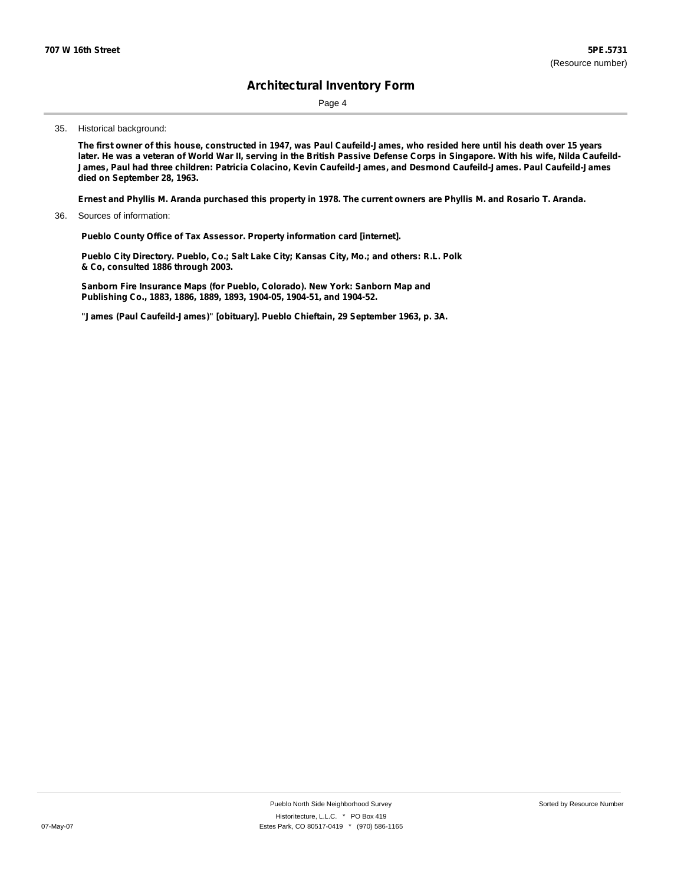Page 4

#### 35. Historical background:

The first owner of this house, constructed in 1947, was Paul Caufeild-James, who resided here until his death over 15 years later. He was a veteran of World War II, serving in the British Passive Defense Corps in Singapore. With his wife, Nilda Caufeild-**James, Paul had three children: Patricia Colacino, Kevin Caufeild-James, and Desmond Caufeild-James. Paul Caufeild-James died on September 28, 1963.**

Ernest and Phyllis M. Aranda purchased this property in 1978. The current owners are Phyllis M. and Rosario T. Aranda.

36. Sources of information:

**Pueblo County Office of Tax Assessor. Property information card [internet].**

**Pueblo City Directory. Pueblo, Co.; Salt Lake City; Kansas City, Mo.; and others: R.L. Polk & Co, consulted 1886 through 2003.**

**Sanborn Fire Insurance Maps (for Pueblo, Colorado). New York: Sanborn Map and Publishing Co., 1883, 1886, 1889, 1893, 1904-05, 1904-51, and 1904-52.**

**"James (Paul Caufeild-James)" [obituary]. Pueblo Chieftain, 29 September 1963, p. 3A.**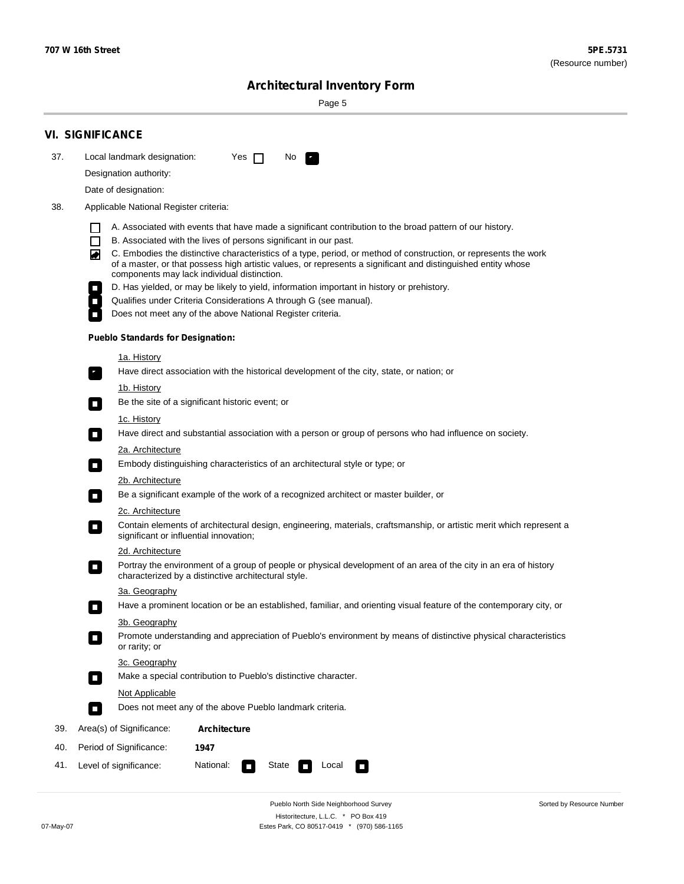٠

Sorted by Resource Number

# **Architectural Inventory Form**

Page 5

|     | <b>VI. SIGNIFICANCE</b>                                                                                                                                                                                                                                                                                                                                                                                                                                                                                                                                                             |  |  |  |  |  |  |
|-----|-------------------------------------------------------------------------------------------------------------------------------------------------------------------------------------------------------------------------------------------------------------------------------------------------------------------------------------------------------------------------------------------------------------------------------------------------------------------------------------------------------------------------------------------------------------------------------------|--|--|--|--|--|--|
| 37. | Local landmark designation:<br>Yes $\Box$<br>No.                                                                                                                                                                                                                                                                                                                                                                                                                                                                                                                                    |  |  |  |  |  |  |
|     | Designation authority:                                                                                                                                                                                                                                                                                                                                                                                                                                                                                                                                                              |  |  |  |  |  |  |
|     | Date of designation:                                                                                                                                                                                                                                                                                                                                                                                                                                                                                                                                                                |  |  |  |  |  |  |
| 38. | Applicable National Register criteria:                                                                                                                                                                                                                                                                                                                                                                                                                                                                                                                                              |  |  |  |  |  |  |
|     | A. Associated with events that have made a significant contribution to the broad pattern of our history.<br>l.<br>B. Associated with the lives of persons significant in our past.<br>$\Box$<br>C. Embodies the distinctive characteristics of a type, period, or method of construction, or represents the work<br>◙<br>of a master, or that possess high artistic values, or represents a significant and distinguished entity whose<br>components may lack individual distinction.<br>D. Has yielded, or may be likely to yield, information important in history or prehistory. |  |  |  |  |  |  |
|     | Qualifies under Criteria Considerations A through G (see manual).                                                                                                                                                                                                                                                                                                                                                                                                                                                                                                                   |  |  |  |  |  |  |
|     | Does not meet any of the above National Register criteria.                                                                                                                                                                                                                                                                                                                                                                                                                                                                                                                          |  |  |  |  |  |  |
|     | <b>Pueblo Standards for Designation:</b>                                                                                                                                                                                                                                                                                                                                                                                                                                                                                                                                            |  |  |  |  |  |  |
|     | 1a. History                                                                                                                                                                                                                                                                                                                                                                                                                                                                                                                                                                         |  |  |  |  |  |  |
|     | Have direct association with the historical development of the city, state, or nation; or                                                                                                                                                                                                                                                                                                                                                                                                                                                                                           |  |  |  |  |  |  |
|     | <u>1b. History</u><br>Be the site of a significant historic event; or<br>$\mathcal{L}_{\mathcal{A}}$                                                                                                                                                                                                                                                                                                                                                                                                                                                                                |  |  |  |  |  |  |
|     | 1c. History<br>Have direct and substantial association with a person or group of persons who had influence on society.                                                                                                                                                                                                                                                                                                                                                                                                                                                              |  |  |  |  |  |  |
|     | 2a. Architecture                                                                                                                                                                                                                                                                                                                                                                                                                                                                                                                                                                    |  |  |  |  |  |  |
|     | Embody distinguishing characteristics of an architectural style or type; or<br>$\overline{\phantom{a}}$                                                                                                                                                                                                                                                                                                                                                                                                                                                                             |  |  |  |  |  |  |
|     | 2b. Architecture                                                                                                                                                                                                                                                                                                                                                                                                                                                                                                                                                                    |  |  |  |  |  |  |
|     | Be a significant example of the work of a recognized architect or master builder, or<br>$\sim$                                                                                                                                                                                                                                                                                                                                                                                                                                                                                      |  |  |  |  |  |  |
|     | 2c. Architecture<br>Contain elements of architectural design, engineering, materials, craftsmanship, or artistic merit which represent a<br>О<br>significant or influential innovation;                                                                                                                                                                                                                                                                                                                                                                                             |  |  |  |  |  |  |
|     | 2d. Architecture                                                                                                                                                                                                                                                                                                                                                                                                                                                                                                                                                                    |  |  |  |  |  |  |
|     | Portray the environment of a group of people or physical development of an area of the city in an era of history<br>$\Box$<br>characterized by a distinctive architectural style.                                                                                                                                                                                                                                                                                                                                                                                                   |  |  |  |  |  |  |
|     | 3a. Geography                                                                                                                                                                                                                                                                                                                                                                                                                                                                                                                                                                       |  |  |  |  |  |  |
|     | Have a prominent location or be an established, familiar, and orienting visual feature of the contemporary city, or                                                                                                                                                                                                                                                                                                                                                                                                                                                                 |  |  |  |  |  |  |
|     | 3b. Geography<br>Promote understanding and appreciation of Pueblo's environment by means of distinctive physical characteristics<br>or rarity; or                                                                                                                                                                                                                                                                                                                                                                                                                                   |  |  |  |  |  |  |
|     | 3c. Geography<br>Make a special contribution to Pueblo's distinctive character.<br>$\sim$                                                                                                                                                                                                                                                                                                                                                                                                                                                                                           |  |  |  |  |  |  |
|     | Not Applicable                                                                                                                                                                                                                                                                                                                                                                                                                                                                                                                                                                      |  |  |  |  |  |  |
|     | Does not meet any of the above Pueblo landmark criteria.<br>$\overline{\phantom{a}}$                                                                                                                                                                                                                                                                                                                                                                                                                                                                                                |  |  |  |  |  |  |
| 39. | Area(s) of Significance:<br><b>Architecture</b>                                                                                                                                                                                                                                                                                                                                                                                                                                                                                                                                     |  |  |  |  |  |  |
| 40. | Period of Significance:<br>1947                                                                                                                                                                                                                                                                                                                                                                                                                                                                                                                                                     |  |  |  |  |  |  |
| 41. | National:<br>Level of significance:<br>State<br>Local<br>◨<br>П                                                                                                                                                                                                                                                                                                                                                                                                                                                                                                                     |  |  |  |  |  |  |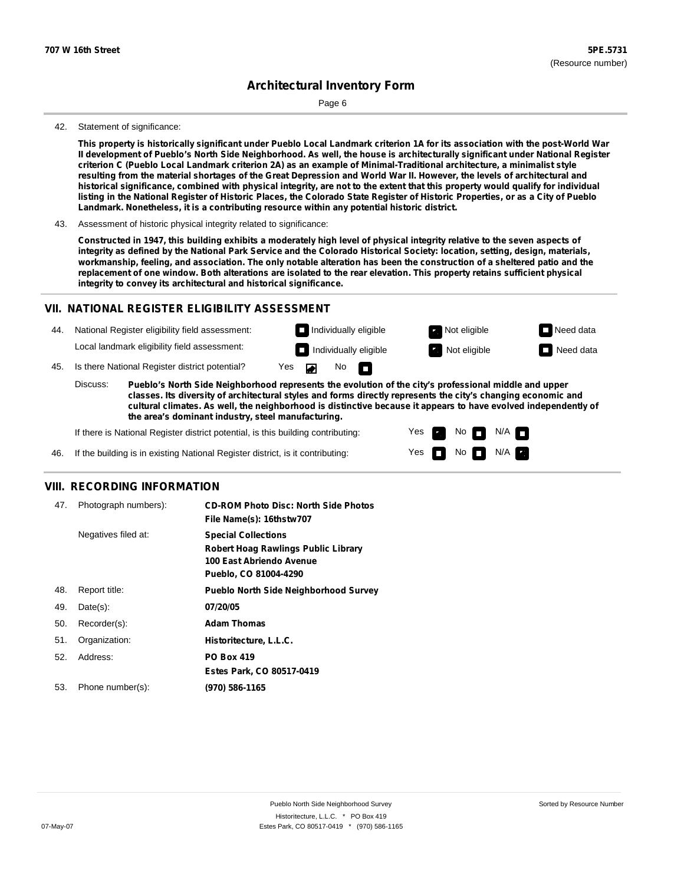Page 6

#### 42. Statement of significance:

This property is historically significant under Pueblo Local Landmark criterion 1A for its association with the post-World War Il development of Pueblo's North Side Neighborhood. As well, the house is architecturally significant under National Register criterion C (Pueblo Local Landmark criterion 2A) as an example of Minimal-Traditional architecture, a minimalist style resulting from the material shortages of the Great Depression and World War II. However, the levels of architectural and historical significance, combined with physical integrity, are not to the extent that this property would qualify for individual listing in the National Register of Historic Places, the Colorado State Register of Historic Properties, or as a City of Pueblo **Landmark. Nonetheless, it is a contributing resource within any potential historic district.**

43. Assessment of historic physical integrity related to significance:

Constructed in 1947, this building exhibits a moderately high level of physical integrity relative to the seven aspects of integrity as defined by the National Park Service and the Colorado Historical Society: location, setting, design, materials, workmanship, feeling, and association. The only notable alteration has been the construction of a sheltered patio and the replacement of one window. Both alterations are isolated to the rear elevation. This property retains sufficient physical **integrity to convey its architectural and historical significance.**

#### **VII. NATIONAL REGISTER ELIGIBILITY ASSESSMENT**

44. National Register eligibility field assessment: Local landmark eligibility field assessment:

**Individually eligible Not eligible Not eligible Need data** 

No<sub>D</sub>

**Individually eligible Not eligible** Not eligible **Need data** 

45. Is there National Register district potential? Yes

**Pueblo's North Side Neighborhood represents the evolution of the city's professional middle and upper classes. Its diversity of architectural styles and forms directly represents the city's changing economic and cultural climates. As well, the neighborhood is distinctive because it appears to have evolved independently of the area's dominant industry, steel manufacturing.** Discuss:

 $\blacksquare$ 

Yes Yes No

 $No$  N/A

 $N/A$   $\Box$ 

If there is National Register district potential, is this building contributing:



### **VIII. RECORDING INFORMATION**

| 47. | Photograph numbers): | <b>CD-ROM Photo Disc: North Side Photos</b><br>File Name(s): 16thstw707                                                       |
|-----|----------------------|-------------------------------------------------------------------------------------------------------------------------------|
|     | Negatives filed at:  | <b>Special Collections</b><br><b>Robert Hoag Rawlings Public Library</b><br>100 East Abriendo Avenue<br>Pueblo, CO 81004-4290 |
| 48. | Report title:        | <b>Pueblo North Side Neighborhood Survey</b>                                                                                  |
| 49. | $Date(s)$ :          | 07/20/05                                                                                                                      |
| 50. | Recorder(s):         | <b>Adam Thomas</b>                                                                                                            |
| 51. | Organization:        | Historitecture, L.L.C.                                                                                                        |
| 52. | Address:             | <b>PO Box 419</b>                                                                                                             |
|     |                      | Estes Park, CO 80517-0419                                                                                                     |
| 53. | Phone number(s):     | (970) 586-1165                                                                                                                |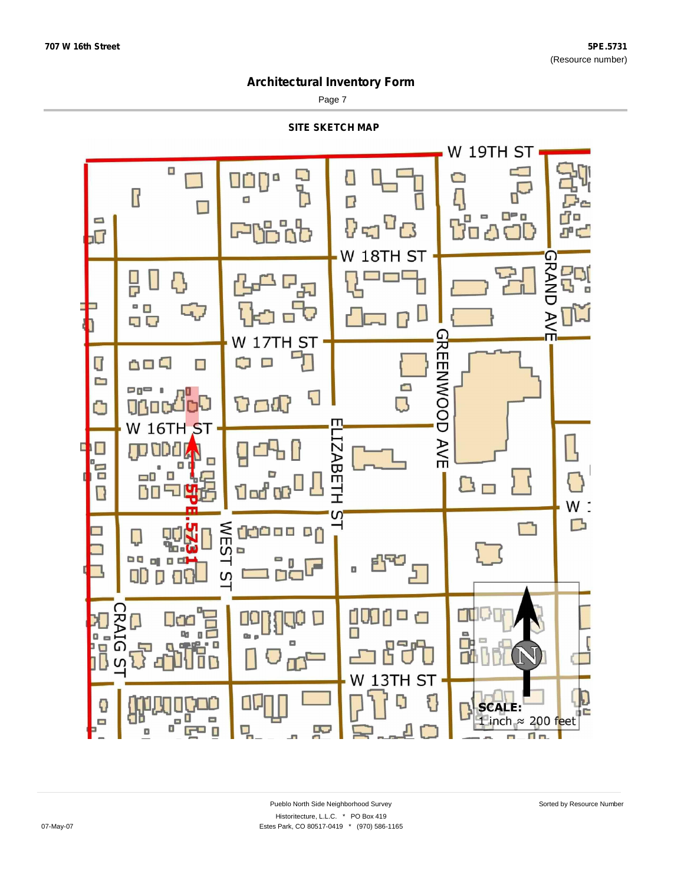Page 7